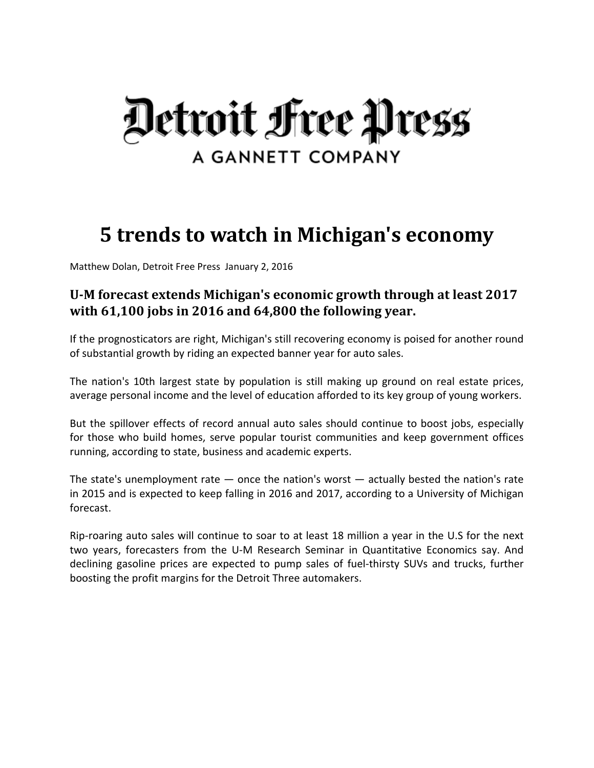

# **5 trends to watch in Michigan's economy**

Matthew Dolan, Detroit Free Press January 2, 2016

# **UM forecast extends Michigan's economic growth through at least 2017 with 61,100 jobs in 2016 and 64,800 the following year.**

If the prognosticators are right, Michigan's still recovering economy is poised for another round of substantial growth by riding an expected banner year for auto sales.

The nation's 10th largest state by population is still making up ground on real estate prices, average personal income and the level of education afforded to its key group of young workers.

But the spillover effects of record annual auto sales should continue to boost jobs, especially for those who build homes, serve popular tourist communities and keep government offices running, according to state, business and academic experts.

The state's unemployment rate  $-$  once the nation's worst  $-$  actually bested the nation's rate in 2015 and is expected to keep falling in 2016 and 2017, according to a University of Michigan forecast.

Rip‐roaring auto sales will continue to soar to at least 18 million a year in the U.S for the next two years, forecasters from the U‐M Research Seminar in Quantitative Economics say. And declining gasoline prices are expected to pump sales of fuel‐thirsty SUVs and trucks, further boosting the profit margins for the Detroit Three automakers.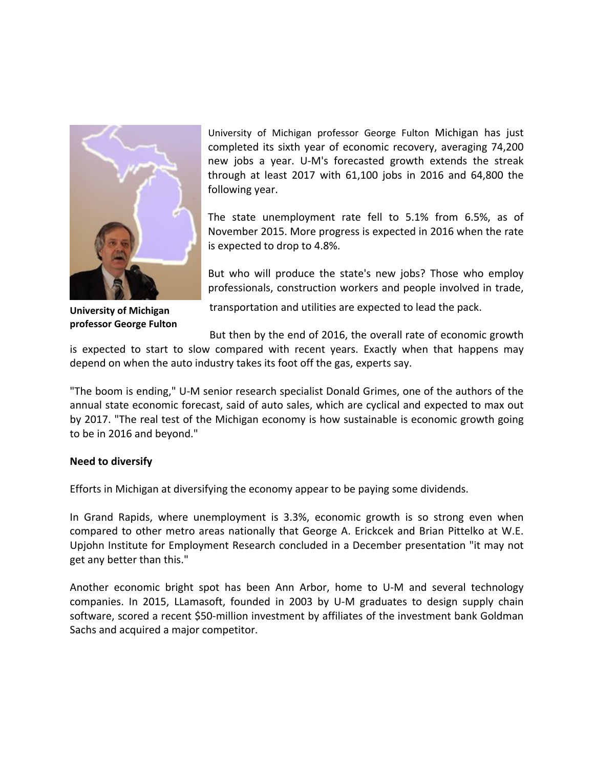

**University of Michigan professor George Fulton**

University of Michigan professor George Fulton Michigan has just completed its sixth year of economic recovery, averaging 74,200 new jobs a year. U‐M's forecasted growth extends the streak through at least 2017 with 61,100 jobs in 2016 and 64,800 the following year.

The state unemployment rate fell to 5.1% from 6.5%, as of November 2015. More progress is expected in 2016 when the rate is expected to drop to 4.8%.

But who will produce the state's new jobs? Those who employ professionals, construction workers and people involved in trade,

transportation and utilities are expected to lead the pack.

But then by the end of 2016, the overall rate of economic growth

is expected to start to slow compared with recent years. Exactly when that happens may depend on when the auto industry takes its foot off the gas, experts say.

"The boom is ending," U‐M senior research specialist Donald Grimes, one of the authors of the annual state economic forecast, said of auto sales, which are cyclical and expected to max out by 2017. "The real test of the Michigan economy is how sustainable is economic growth going to be in 2016 and beyond."

# **Need to diversify**

Efforts in Michigan at diversifying the economy appear to be paying some dividends.

In Grand Rapids, where unemployment is 3.3%, economic growth is so strong even when compared to other metro areas nationally that George A. Erickcek and Brian Pittelko at W.E. Upjohn Institute for Employment Research concluded in a December presentation "it may not get any better than this."

Another economic bright spot has been Ann Arbor, home to U‐M and several technology companies. In 2015, LLamasoft, founded in 2003 by U‐M graduates to design supply chain software, scored a recent \$50-million investment by affiliates of the investment bank Goldman Sachs and acquired a major competitor.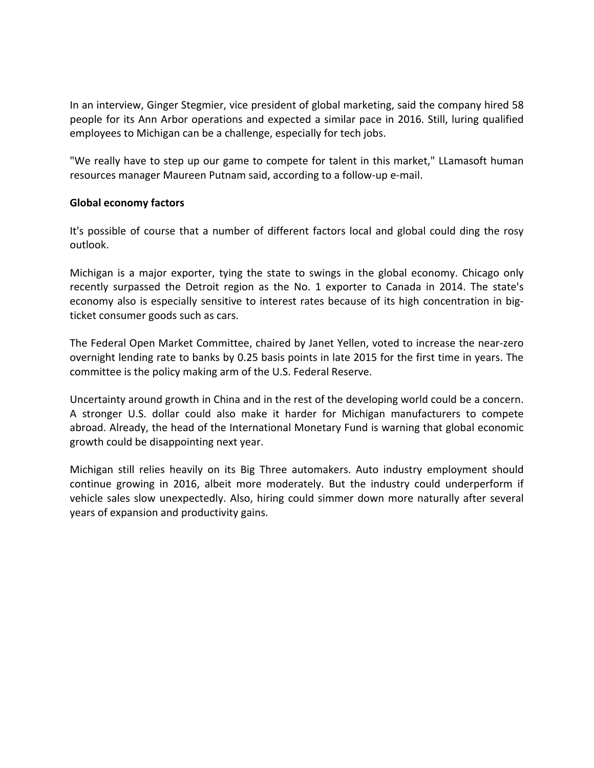In an interview, Ginger Stegmier, vice president of global marketing, said the company hired 58 people for its Ann Arbor operations and expected a similar pace in 2016. Still, luring qualified employees to Michigan can be a challenge, especially for tech jobs.

"We really have to step up our game to compete for talent in this market," LLamasoft human resources manager Maureen Putnam said, according to a follow‐up e‐mail.

# **Global economy factors**

It's possible of course that a number of different factors local and global could ding the rosy outlook.

Michigan is a major exporter, tying the state to swings in the global economy. Chicago only recently surpassed the Detroit region as the No. 1 exporter to Canada in 2014. The state's economy also is especially sensitive to interest rates because of its high concentration in bigticket consumer goods such as cars.

The Federal Open Market Committee, chaired by Janet Yellen, voted to increase the near‐zero overnight lending rate to banks by 0.25 basis points in late 2015 for the first time in years. The committee is the policy making arm of the U.S. Federal Reserve.

Uncertainty around growth in China and in the rest of the developing world could be a concern. A stronger U.S. dollar could also make it harder for Michigan manufacturers to compete abroad. Already, the head of the International Monetary Fund is warning that global economic growth could be disappointing next year.

Michigan still relies heavily on its Big Three automakers. Auto industry employment should continue growing in 2016, albeit more moderately. But the industry could underperform if vehicle sales slow unexpectedly. Also, hiring could simmer down more naturally after several years of expansion and productivity gains.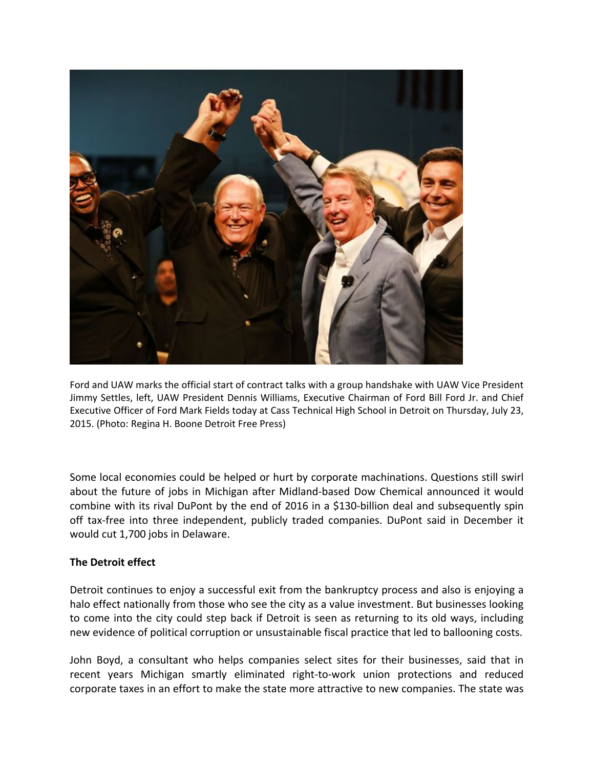

Ford and UAW marks the official start of contract talks with a group handshake with UAW Vice President Jimmy Settles, left, UAW President Dennis Williams, Executive Chairman of Ford Bill Ford Jr. and Chief Executive Officer of Ford Mark Fields today at Cass Technical High School in Detroit on Thursday, July 23, 2015. (Photo: Regina H. Boone Detroit Free Press)

Some local economies could be helped or hurt by corporate machinations. Questions still swirl about the future of jobs in Michigan after Midland‐based Dow Chemical announced it would combine with its rival DuPont by the end of 2016 in a \$130‐billion deal and subsequently spin off tax‐free into three independent, publicly traded companies. DuPont said in December it would cut 1,700 jobs in Delaware.

# **The Detroit effect**

Detroit continues to enjoy a successful exit from the bankruptcy process and also is enjoying a halo effect nationally from those who see the city as a value investment. But businesses looking to come into the city could step back if Detroit is seen as returning to its old ways, including new evidence of political corruption or unsustainable fiscal practice that led to ballooning costs.

John Boyd, a consultant who helps companies select sites for their businesses, said that in recent years Michigan smartly eliminated right‐to‐work union protections and reduced corporate taxes in an effort to make the state more attractive to new companies. The state was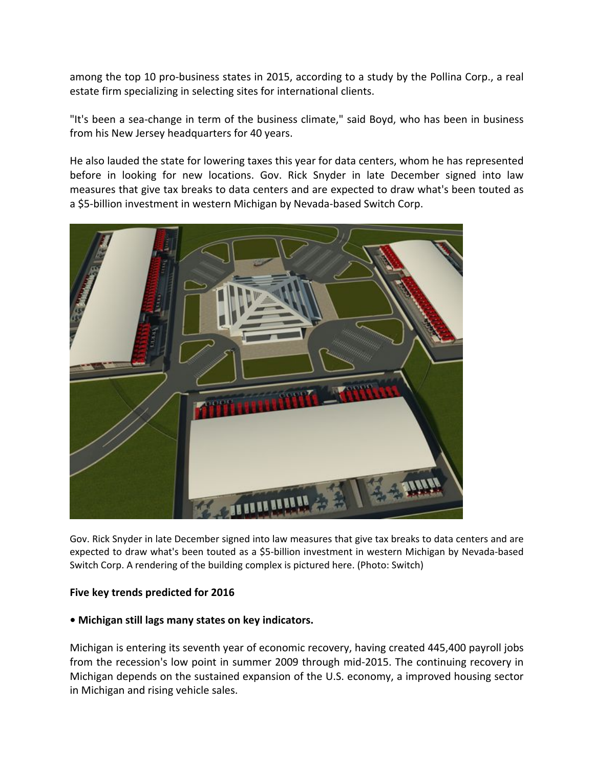among the top 10 pro-business states in 2015, according to a study by the Pollina Corp., a real estate firm specializing in selecting sites for international clients.

"It's been a sea‐change in term of the business climate," said Boyd, who has been in business from his New Jersey headquarters for 40 years.

He also lauded the state for lowering taxes this year for data centers, whom he has represented before in looking for new locations. Gov. Rick Snyder in late December signed into law measures that give tax breaks to data centers and are expected to draw what's been touted as a \$5‐billion investment in western Michigan by Nevada‐based Switch Corp.



Gov. Rick Snyder in late December signed into law measures that give tax breaks to data centers and are expected to draw what's been touted as a \$5‐billion investment in western Michigan by Nevada‐based Switch Corp. A rendering of the building complex is pictured here. (Photo: Switch)

# **Five key trends predicted for 2016**

#### **• Michigan still lags many states on key indicators.**

Michigan is entering its seventh year of economic recovery, having created 445,400 payroll jobs from the recession's low point in summer 2009 through mid‐2015. The continuing recovery in Michigan depends on the sustained expansion of the U.S. economy, a improved housing sector in Michigan and rising vehicle sales.